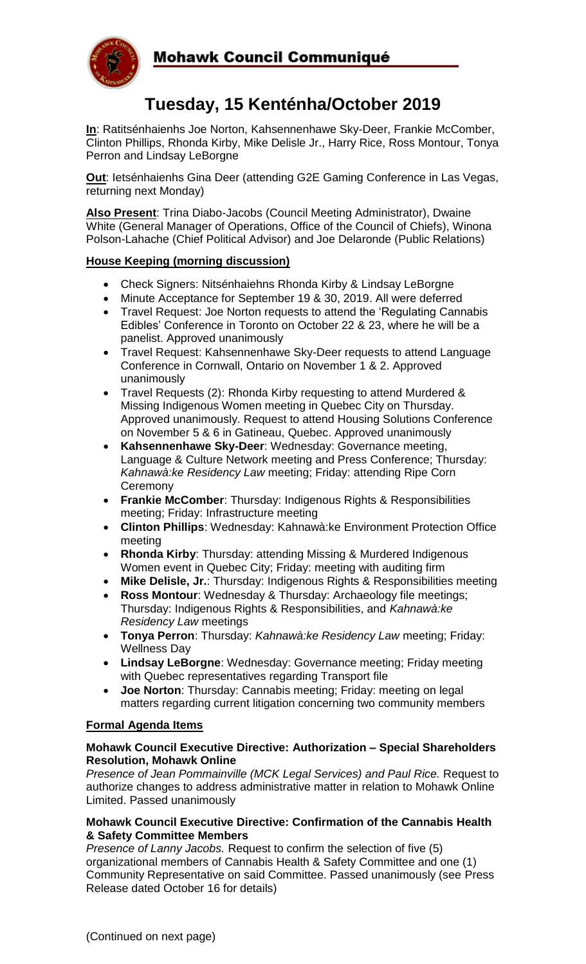

# **Tuesday, 15 Kenténha/October 2019**

**In**: Ratitsénhaienhs Joe Norton, Kahsennenhawe Sky-Deer, Frankie McComber, Clinton Phillips, Rhonda Kirby, Mike Delisle Jr., Harry Rice, Ross Montour, Tonya Perron and Lindsay LeBorgne

**Out**: Ietsénhaienhs Gina Deer (attending G2E Gaming Conference in Las Vegas, returning next Monday)

**Also Present**: Trina Diabo-Jacobs (Council Meeting Administrator), Dwaine White (General Manager of Operations, Office of the Council of Chiefs), Winona Polson-Lahache (Chief Political Advisor) and Joe Delaronde (Public Relations)

# **House Keeping (morning discussion)**

- Check Signers: Nitsénhaiehns Rhonda Kirby & Lindsay LeBorgne
- Minute Acceptance for September 19 & 30, 2019. All were deferred
- Travel Request: Joe Norton requests to attend the 'Regulating Cannabis Edibles' Conference in Toronto on October 22 & 23, where he will be a panelist. Approved unanimously
- Travel Request: Kahsennenhawe Sky-Deer requests to attend Language Conference in Cornwall, Ontario on November 1 & 2. Approved unanimously
- Travel Requests (2): Rhonda Kirby requesting to attend Murdered & Missing Indigenous Women meeting in Quebec City on Thursday. Approved unanimously. Request to attend Housing Solutions Conference on November 5 & 6 in Gatineau, Quebec. Approved unanimously
- **Kahsennenhawe Sky-Deer**: Wednesday: Governance meeting, Language & Culture Network meeting and Press Conference; Thursday: *Kahnawà:ke Residency Law* meeting; Friday: attending Ripe Corn **Ceremony**
- **Frankie McComber**: Thursday: Indigenous Rights & Responsibilities meeting; Friday: Infrastructure meeting
- **Clinton Phillips**: Wednesday: Kahnawà:ke Environment Protection Office meeting
- **Rhonda Kirby**: Thursday: attending Missing & Murdered Indigenous Women event in Quebec City; Friday: meeting with auditing firm
- **Mike Delisle, Jr.**: Thursday: Indigenous Rights & Responsibilities meeting
- **Ross Montour**: Wednesday & Thursday: Archaeology file meetings; Thursday: Indigenous Rights & Responsibilities, and *Kahnawà:ke Residency Law* meetings
- **Tonya Perron**: Thursday: *Kahnawà:ke Residency Law* meeting; Friday: Wellness Day
- **Lindsay LeBorgne**: Wednesday: Governance meeting; Friday meeting with Quebec representatives regarding Transport file
- **Joe Norton**: Thursday: Cannabis meeting; Friday: meeting on legal matters regarding current litigation concerning two community members

## **Formal Agenda Items**

## **Mohawk Council Executive Directive: Authorization – Special Shareholders Resolution, Mohawk Online**

*Presence of Jean Pommainville (MCK Legal Services) and Paul Rice.* Request to authorize changes to address administrative matter in relation to Mohawk Online Limited. Passed unanimously

## **Mohawk Council Executive Directive: Confirmation of the Cannabis Health & Safety Committee Members**

*Presence of Lanny Jacobs.* Request to confirm the selection of five (5) organizational members of Cannabis Health & Safety Committee and one (1) Community Representative on said Committee. Passed unanimously (see Press Release dated October 16 for details)